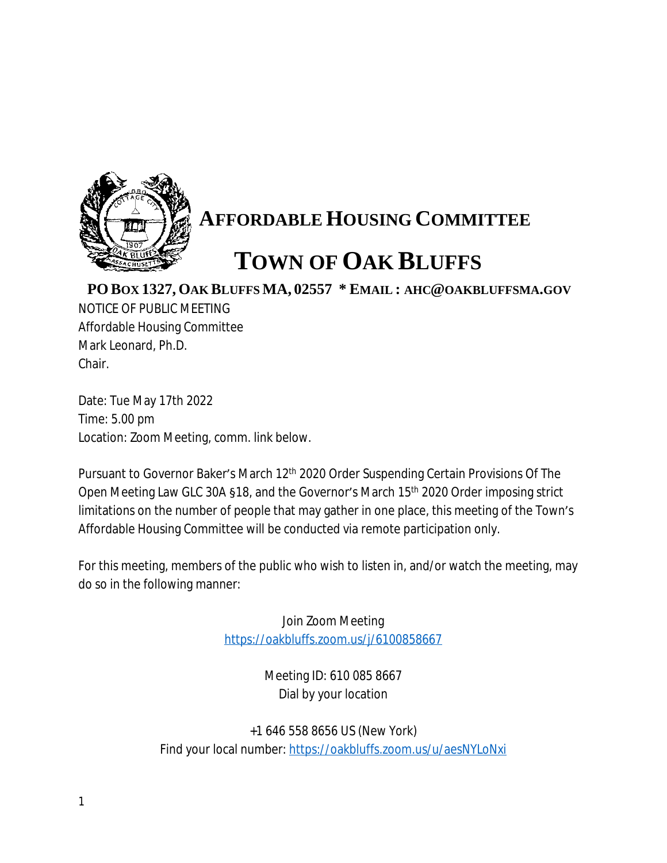

## **AFFORDABLE HOUSING COMMITTEE**

## **TOWN OF OAK BLUFFS**

**PO BOX 1327, OAK BLUFFS MA, 02557 \* EMAIL : AHC@OAKBLUFFSMA.GOV**

NOTICE OF PUBLIC MEETING Affordable Housing Committee Mark Leonard, Ph.D. Chair.

Date: Tue May 17th 2022 Time: 5.00 pm Location: Zoom Meeting, comm. link below.

Pursuant to Governor Baker's March 12<sup>th</sup> 2020 Order Suspending Certain Provisions Of The Open Meeting Law GLC 30A §18, and the Governor's March 15th 2020 Order imposing strict limitations on the number of people that may gather in one place, this meeting of the Town's Affordable Housing Committee will be conducted via remote participation only.

For this meeting, members of the public who wish to listen in, and/or watch the meeting, may do so in the following manner:

> Join Zoom Meeting <https://oakbluffs.zoom.us/j/6100858667>

> > Meeting ID: 610 085 8667 Dial by your location

+1 646 558 8656 US (New York) Find your local number: <https://oakbluffs.zoom.us/u/aesNYLoNxi>